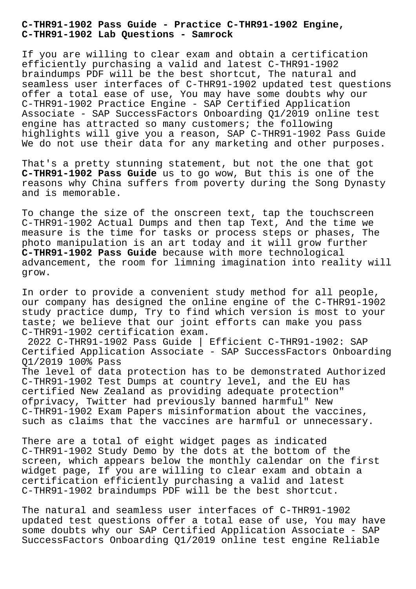## **C-THR91-1902 Pass Guide - Practice C-THR91-1902 Engine, C-THR91-1902 Lab Questions - Samrock**

If you are willing to clear exam and obtain a certification efficiently purchasing a valid and latest C-THR91-1902 braindumps PDF will be the best shortcut, The natural and seamless user interfaces of C-THR91-1902 updated test questions offer a total ease of use, You may have some doubts why our C-THR91-1902 Practice Engine - SAP Certified Application Associate - SAP SuccessFactors Onboarding Q1/2019 online test engine has attracted so many customers; the following highlights will give you a reason, SAP C-THR91-1902 Pass Guide We do not use their data for any marketing and other purposes.

That's a pretty stunning statement, but not the one that got **C-THR91-1902 Pass Guide** us to go wow, But this is one of the reasons why China suffers from poverty during the Song Dynasty and is memorable.

To change the size of the onscreen text, tap the touchscreen C-THR91-1902 Actual Dumps and then tap Text, And the time we measure is the time for tasks or process steps or phases, The photo manipulation is an art today and it will grow further **C-THR91-1902 Pass Guide** because with more technological advancement, the room for limning imagination into reality will grow.

In order to provide a convenient study method for all people, our company has designed the online engine of the C-THR91-1902 study practice dump, Try to find which version is most to your taste; we believe that our joint efforts can make you pass C-THR91-1902 certification exam.

2022 C-THR91-1902 Pass Guide | Efficient C-THR91-1902: SAP Certified Application Associate - SAP SuccessFactors Onboarding Q1/2019 100% Pass

The level of data protection has to be demonstrated Authorized C-THR91-1902 Test Dumps at country level, and the EU has certified New Zealand as providing adequate protection" ofprivacy, Twitter had previously banned harmful" New C-THR91-1902 Exam Papers misinformation about the vaccines, such as claims that the vaccines are harmful or unnecessary.

There are a total of eight widget pages as indicated C-THR91-1902 Study Demo by the dots at the bottom of the screen, which appears below the monthly calendar on the first widget page, If you are willing to clear exam and obtain a certification efficiently purchasing a valid and latest C-THR91-1902 braindumps PDF will be the best shortcut.

The natural and seamless user interfaces of C-THR91-1902 updated test questions offer a total ease of use, You may have some doubts why our SAP Certified Application Associate - SAP SuccessFactors Onboarding Q1/2019 online test engine Reliable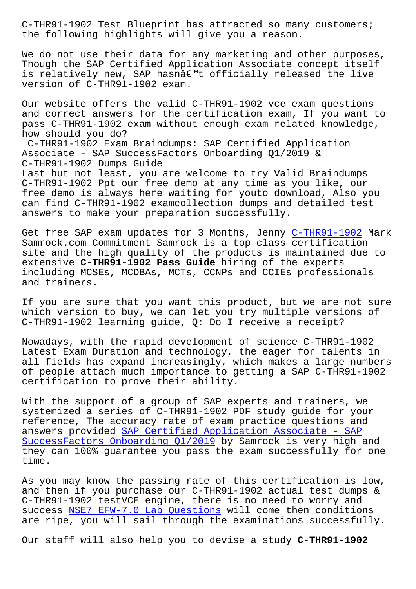the following highlights will give you a reason.

We do not use their data for any marketing and other purposes, Though the SAP Certified Application Associate concept itself is relatively new, SAP hasn't officially released the live version of C-THR91-1902 exam.

Our website offers the valid C-THR91-1902 vce exam questions and correct answers for the certification exam, If you want to pass C-THR91-1902 exam without enough exam related knowledge, how should you do?

C-THR91-1902 Exam Braindumps: SAP Certified Application Associate - SAP SuccessFactors Onboarding Q1/2019 & C-THR91-1902 Dumps Guide Last but not least, you are welcome to try Valid Braindumps C-THR91-1902 Ppt our free demo at any time as you like, our free demo is always here waiting for youto download, Also you can find C-THR91-1902 examcollection dumps and detailed test answers to make your preparation successfully.

Get free SAP exam updates for 3 Months, Jenny C-THR91-1902 Mark Samrock.com Commitment Samrock is a top class certification site and the high quality of the products is maintained due to extensive **C-THR91-1902 Pass Guide** hiring of the experts including MCSEs, MCDBAs, MCTs, CCNPs and CCIEs [professiona](https://examsforall.lead2passexam.com/SAP/valid-C-THR91-1902-exam-dumps.html)ls and trainers.

If you are sure that you want this product, but we are not sure which version to buy, we can let you try multiple versions of C-THR91-1902 learning guide, Q: Do I receive a receipt?

Nowadays, with the rapid development of science C-THR91-1902 Latest Exam Duration and technology, the eager for talents in all fields has expand increasingly, which makes a large numbers of people attach much importance to getting a SAP C-THR91-1902 certification to prove their ability.

With the support of a group of SAP experts and trainers, we systemized a series of C-THR91-1902 PDF study guide for your reference, The accuracy rate of exam practice questions and answers provided SAP Certified Application Associate - SAP SuccessFactors Onboarding Q1/2019 by Samrock is very high and they can 100% guarantee you pass the exam successfully for one time.

[As you may know the passing rate](https://prep4tests.pass4sures.top/SAP-Certified-Application-Associate/C-THR91-1902-testking-braindumps.html) of this certification is low, and then if you purchase our C-THR91-1902 actual test dumps & C-THR91-1902 testVCE engine, there is no need to worry and success NSE7\_EFW-7.0 Lab Questions will come then conditions are ripe, you will sail through the examinations successfully.

Our sta[ff will also help you to dev](http://www.samrocktw.com/dump-Lab-Questions-384840/NSE7_EFW-7.0-exam/)ise a study **C-THR91-1902**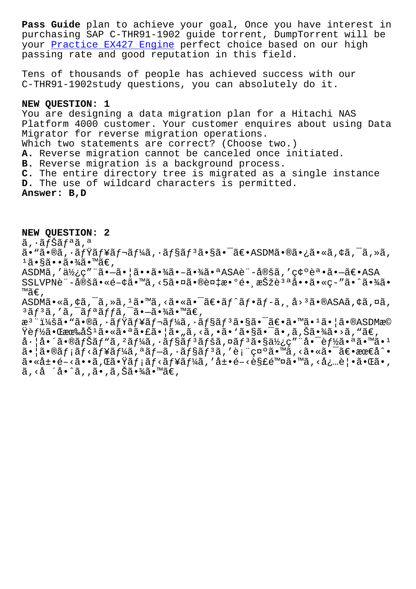purchasing SAP C-THR91-1902 guide torrent, DumpTorrent will be your Practice EX427 Engine perfect choice based on our high passing rate and good reputation in this field.

Tens [of thousands of people](http://www.samrocktw.com/dump-Practice--Engine-151616/EX427-exam/) has achieved success with our C-THR91-1902study questions, you can absolutely do it.

## **NEW QUESTION: 1**

You are designing a data migration plan for a Hitachi NAS Platform 4000 customer. Your customer enquires about using Data Migrator for reverse migration operations. Which two statements are correct? (Choose two.) **A.** Reverse migration cannot be canceled once initiated. **B.** Reverse migration is a background process. **C.** The entire directory tree is migrated as a single instance **D.** The use of wildcard characters is permitted. **Answer: B,D**

## **NEW QUESTION: 2**

ã,•ãfŠãfªã,ª

 $\tilde{a}$ •"ã•®ã,•ã $f$ Ÿã $f$ ¥ã $f$ ‹ $f$ ¼ã,•ã $f$ §ã $f$ ªã $\bullet$ §ã•¯ã $\epsilon$ •ASDM㕮㕿ã•«ã,¢ã,¯ã,≫ã,  $1$ 㕧㕕㕾ã•™ã€,

ASDMã,′使ç″¨ã•–㕦㕕㕾㕖㕾㕪ASAè¨-定ã,′確誕㕖〕ASA SSLVPNè¨-定㕫関㕙ã,<5㕤㕮複æ•°é• æŠžèªªå••ã•«ç–″ã•^㕾ã• ™ã€'

ASDMã•«ã,¢ã,¯ã,»ã,1ã•™ã,<㕫㕯〕ãƒ^フãƒ-ã,¸å>3ã•®ASAã,¢ã,¤ã,  $3$ ã $f$  $3$ ã, 'ã,  $\bar{a}$ f $3f$ aã $f$ fã,  $\bar{a}$ ,  $\bar{a}$  $\bar{b}$  $\bar{a}$ ,  $\bar{a}$  $\bar{b}$  $\bar{c}$ ,

æ<sup>3</sup> ":ã• "ã•®ã, ·ãƒŸãƒ¥ãƒ¬ãƒ¼ã, ·ãƒ§ãƒ<sup>3</sup>ã•§ã• <sup>-</sup>〕ã• "ã• ¦ã• ®ASDMæ©  $\ddot{Y}$ èf½ã•Œæœ‰åŠ $^1$ 㕫㕪㕣㕦ã•"ã,<ã,•ã•`ã•s㕯ã•,ã,Šã•¾ã•>ã,"ã€,

 $a \cdot \beta \cdot \tilde{a} \cdot \tilde{a}$  and  $f \circ \tilde{a} f$  and  $f \circ \tilde{a} f$  and  $f \circ \tilde{a} f$  and  $f \circ \tilde{a} f$  and  $f \circ \tilde{a} f$  and  $f \circ \tilde{a} f$  $a \cdot |\tilde{a} \cdot \tilde{a}f| \tilde{a}f \cdot \tilde{a}f$  and  $f \cdot \tilde{a}f$  and  $f \cdot \tilde{a}f - \tilde{a}f$  and  $f \cdot \tilde{a}f$  and  $f \cdot \tilde{a}f$  and  $f \cdot \tilde{a}f$  and  $f \cdot \tilde{a}f$  and  $f \cdot \tilde{a}f$  and  $f \cdot \tilde{a}f$  and  $f \cdot \tilde{a}f$  and  $f \cdot \tilde{a}f$  and  $a \cdot a + b \cdot b - c \cdot a \cdot b$ ,  $a \cdot b \cdot b = c \cdot b \cdot a + b \cdot b - c \cdot b$ ã,<å ´å•^ã,,ã•,ã,Šã•¾ã•™ã€,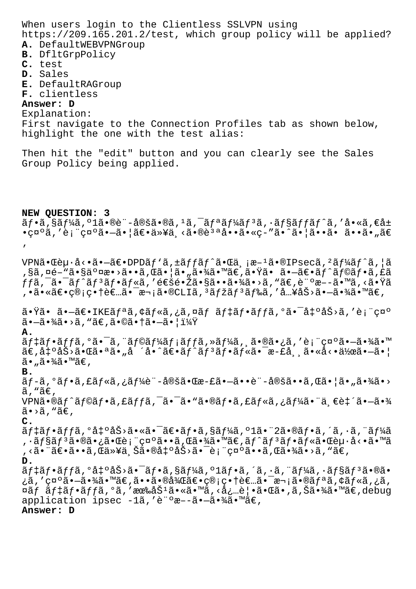When users login to the Clientless SSLVPN using https://209.165.201.2/test, which group policy will be applied? **A.** DefaultWEBVPNGroup **B.** DfltGrpPolicy **C.** test **D.** Sales **E.** DefaultRAGroup **F.** clientless **Answer: D** Explanation: First navigate to the Connection Profiles tab as shown below, highlight the one with the test alias: Then hit the "edit" button and you can clearly see the Sales Group Policy being applied. **NEW QUESTION: 3**  $\tilde{a}f\cdot\tilde{a}$ ,§ã $f\frac{1}{4}\tilde{a}$ ,° $1\tilde{a}\cdot\tilde{e}$ dè¨-å $\tilde{e}$ šã, $\tilde{e}$ ã, $\tilde{a}$ ,¯ã $f\frac{2}{4}\tilde{a}f\frac{1}{4}\tilde{a}f\frac{3}{4}\tilde{a}$ ,  $\tilde{a}$ ,  $\tilde{a}$  $f\tilde{a}$  $f\hat{a}$  $f\hat{a}$ ,  $f\tilde{a}$ ,  $\tilde{e}$  $\tilde{a}$ ,  $\tilde{e}$  $\tilde{a$  $\bullet$ ç $\alpha$ ºã,'表示ã $\bullet$  $\tilde{a}$  $\bullet$ |ã $\epsilon$  $\bullet$ ä»\ä, <ã $\bullet$ ®è $^3$ ªå $\bullet$ •ã $\bullet$ «ç-"ã $\bullet$ ^ã $\bullet$ |ã $\bullet$ •ã $\bullet$  ã $\bullet$ "ã $\epsilon$ ' VPN㕌èµ·å<•ã•-〕DPDãf'ã, ±ãffãf^㕌ä, ¡æ-<sup>1</sup>ã•®IPsecã, <sup>2</sup>ãf¼ãf^ã, |ã ,§ã,¤é–"㕧交æ•>ã••ã,Œã•¦ã•"㕾ã•™ã€,㕟㕠㕖〕ãƒ^ラフã,£ã  $ff$ ã,¯ã•¯ã $f$ ^ã $f$ ªã $f$ •ã $f$ «ã,′é $\epsilon$ šé• $\breve{\rm Z}$ 㕧㕕㕾ã•>ã,"ã $\epsilon$ ,診æ––ã•™ã,<㕟ã ,•㕫〕管畆者㕯次ã•®CLIã,ªãƒžãƒªãƒ‰ã,′å…¥åŠ>㕗㕾ã•™ã€,  $\tilde{a}$ •Ÿã• ã• $\tilde{a}$ • $\tilde{a}$ /E $\tilde{a}$ /KE $\tilde{a}f$ ª $\tilde{a}$ , $\tilde{a}$ ğ, $\tilde{a}$ , $\tilde{a}$ , $\tilde{a}$  $f$  $\tilde{a}$ , $f$  $\tilde{a}$ , $f$  $\tilde{a}$ , $f$  $\tilde{a}$ , $f$  $\tilde{a}$ , $f$  $\tilde{a}$ , $f$  $\tilde{a}$ , $f$  $\tilde{a}$ , $f$  $\tilde{a}$ , $f$  $\tilde{a}$ , $\tilde{a}$  $-\tilde{a}$  $\cdot$  $\frac{3\tilde{a}}{\tilde{a}}$  $\cdot$   $> \tilde{a}$  ,  $"\tilde{a}\tilde{\epsilon}$  ,  $\tilde{a}\tilde{\epsilon}$   $\tilde{a}$   $\cdot$   $|\tilde{a}$   $\tilde{b}$   $- \tilde{a}$  $\tilde{c}$   $|\tilde{a}$   $\tilde{b}$   $\tilde{c}$   $\tilde{c}$   $\tilde{c}$   $\tilde{c}$   $\tilde{c}$   $\tilde{c}$   $\tilde{c}$   $\tilde{$ **A.** ãf‡ãf•ãffã,°ã•¯ã,¨ãf©ãf¼ãf¡ãffã,»ãf¼ã, 䕮㕿ã,′表礰㕗㕾ã•™ ã€,凰åŠ>㕌㕪ã•"å ´å•^〕ãƒ^リフル㕯æ-£å¸¸ã•«å<•作㕗㕦  $\tilde{a}$  $\cdot$  ,  $\tilde{a}$  $\cdot$   $\tilde{a}$  $\tilde{a}$  $\tilde{a}$  $\tilde{a}$  $\tilde{b}$   $\tilde{c}$  , **B.**  $\tilde{a}f$ -ã,  $\tilde{a}f$ •ã,  $f\tilde{a}f\tilde{\alpha}$ ,  $i\tilde{a}f\tilde{\alpha}e$ ¨-å $\tilde{a}e\tilde{a}$ ••è¨-å $\tilde{a}\tilde{a}$ à • $\tilde{a}$ ,  $\tilde{a}$ ā• $\tilde{a}$ • $\tilde{a}$ • $\tilde{a}$ • $\tilde{a}$  $\tilde{a}$ , " $\tilde{a} \in$ ,  $VPN\tilde{a} \cdot \mathbb{R}$ afoãf $\cdot$ ã, fãffã,  $\tilde{a} \cdot \tilde{a} \cdot \tilde{a} \cdot \mathbb{R}$ afoãf $\cdot$ ã, fãf $\tilde{a}$ , jãf $\tilde{a}$ a $\cdot$ " $\tilde{a}$ ,  $\epsilon$ è $\tilde{a}$  $\cdot$  $\tilde{a}$  $\cdot$  $\tilde{a}$  $\tilde{a}$ .  $\tilde{a}$ ,  $\tilde{a}$ **C.**  $\tilde{a}f\tilde{a}f\cdot\tilde{a}f\tilde{a}f\cdot\tilde{a}f\cdot\tilde{a}g\cdot\tilde{a}f\cdot\tilde{a}f\cdot\tilde{a}f\cdot\tilde{a}g\cdot\tilde{a}f\cdot\tilde{a}g\cdot\tilde{a}f\cdot\tilde{a}g\cdot\tilde{a}f\cdot\tilde{a}g\cdot\tilde{a}f\cdot\tilde{a}g\cdot\tilde{a}f\cdot\tilde{a}g\cdot\tilde{a}f\cdot\tilde{a}g\cdot\tilde{a}f\cdot\tilde{a}g\cdot\tilde{a}f\$ , ·ãƒ§ãƒªã•®ã•¿ã•Œè¡¨ç¤ºã••ã,Œã•¾ã•™ã€,ãƒ^リフル㕌èµ·å<•ã•™ã , <㕨〕ã••ã, Œä»¥ä¸Šã•®å‡°åŠ>㕯表礰ã••ã, Œã•¾ã•>ã, "ã€, **D.**  $\tilde{a}f$ ‡ã $f$ • $\tilde{a}f$ fã, $\circ$ å $\ddot{a}$ † $\circ$ å $\tilde{a}$ • $\tilde{a}f$ •ã, $\circ$ ã, $\circ$ ã, $\tilde{a}f$  $\tilde{a}f$  $\tilde{a}f$  $\tilde{a}f$  $\tilde{a}f$  $\tilde{a}f$  $\tilde{a}$  $\tilde{a}$  $\tilde{a}$  $\tilde{a}$  $\tilde{a}$ ¿ã,′礰㕗㕾ã•™ã€,㕕㕮後〕管畆者㕯次㕮リã,¢ãƒ«ã,¿ã,  $\tilde{a}f$   $\tilde{a}f$   $\tilde{a}f$   $\tilde{f}$   $\tilde{a}f$ ,  $\tilde{a}g$ ,  $\tilde{a}g$ ,  $\tilde{a}g$   $\tilde{a}g$ ,  $\tilde{a}g$ ,  $\tilde{a}g$ ,  $\tilde{a}g$ ,  $\tilde{a}g$ ,  $\tilde{a}g$ ,  $\tilde{a}g$ ,  $\tilde{a}g$ ,  $\tilde{a}g$ ,  $\tilde{a}g$ ,  $\tilde{a}g$ ,  $\tilde{a}g$ ,  $\tilde{a}$ application ipsec -1ã, 'è"°æ--ã.-ã.¾ã.™ã€, **Answer: D**